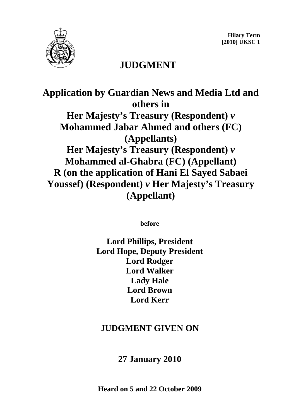

**Hilary Term [2010] UKSC 1** 

# **JUDGMENT**

**Application by Guardian News and Media Ltd and others in Her Majesty's Treasury (Respondent)** *v* **Mohammed Jabar Ahmed and others (FC) (Appellants) Her Majesty's Treasury (Respondent)** *v* **Mohammed al-Ghabra (FC) (Appellant) R (on the application of Hani El Sayed Sabaei Youssef) (Respondent)** *v* **Her Majesty's Treasury (Appellant)** 

**before** 

**Lord Phillips, President Lord Hope, Deputy President Lord Rodger Lord Walker Lady Hale Lord Brown Lord Kerr**

## **JUDGMENT GIVEN ON**

## **27 January 2010**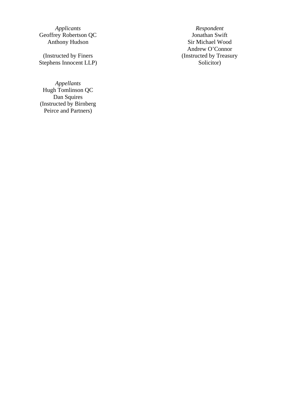*Applicants Respondent*  Geoffrey Robertson QC<br>
Anthony Hudson<br>
Sir Michael Woo

(Instructed by Finers Stephens Innocent LLP)

*Appellants*  Hugh Tomlinson QC Dan Squires (Instructed by Birnberg Peirce and Partners)

Sir Michael Wood Andrew O'Connor (Instructed by Treasury Solicitor)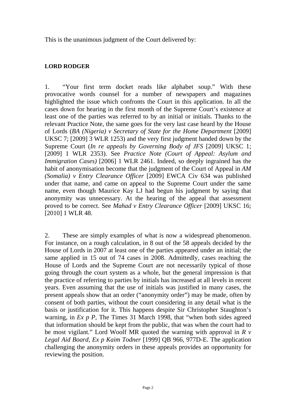This is the unanimous judgment of the Court delivered by:

#### **LORD RODGER**

1. "Your first term docket reads like alphabet soup." With these provocative words counsel for a number of newspapers and magazines highlighted the issue which confronts the Court in this application. In all the cases down for hearing in the first month of the Supreme Court's existence at least one of the parties was referred to by an initial or initials. Thanks to the relevant Practice Note, the same goes for the very last case heard by the House of Lords (*BA (Nigeria) v Secretary of State for the Home Department* [2009] UKSC 7; [2009] 3 WLR 1253) and the very first judgment handed down by the Supreme Court (*In re appeals by Governing Body of JFS* [2009] UKSC 1; [2009] 1 WLR 2353). See *Practice Note (Court of Appeal: Asylum and Immigration Cases*) [2006] 1 WLR 2461. Indeed, so deeply ingrained has the habit of anonymisation become that the judgment of the Court of Appeal in *AM (Somalia) v Entry Clearance Officer* [2009] EWCA Civ 634 was published under that name, and came on appeal to the Supreme Court under the same name, even though Maurice Kay LJ had begun his judgment by saying that anonymity was unnecessary. At the hearing of the appeal that assessment proved to be correct. See *Mahad v Entry Clearance Officer* [2009] UKSC 16; [2010] 1 WLR 48.

2. These are simply examples of what is now a widespread phenomenon. For instance, on a rough calculation, in 8 out of the 58 appeals decided by the House of Lords in 2007 at least one of the parties appeared under an initial; the same applied in 15 out of 74 cases in 2008. Admittedly, cases reaching the House of Lords and the Supreme Court are not necessarily typical of those going through the court system as a whole, but the general impression is that the practice of referring to parties by initials has increased at all levels in recent years. Even assuming that the use of initials was justified in many cases, the present appeals show that an order ("anonymity order") may be made, often by consent of both parties, without the court considering in any detail what is the basis or justification for it. This happens despite Sir Christopher Staughton's warning, in *Ex p P*, The Times 31 March 1998, that "when both sides agreed that information should be kept from the public, that was when the court had to be most vigilant." Lord Woolf MR quoted the warning with approval in *R v Legal Aid Board, Ex p Kaim Todner* [1999] QB 966, 977D-E. The application challenging the anonymity orders in these appeals provides an opportunity for reviewing the position.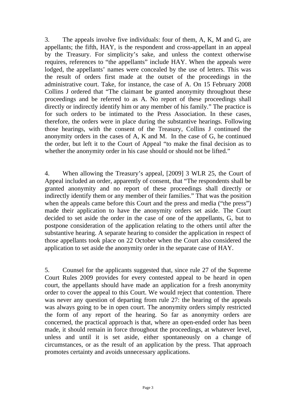3. The appeals involve five individuals: four of them, A, K, M and G, are appellants; the fifth, HAY, is the respondent and cross-appellant in an appeal by the Treasury. For simplicity's sake, and unless the context otherwise requires, references to "the appellants" include HAY. When the appeals were lodged, the appellants' names were concealed by the use of letters. This was the result of orders first made at the outset of the proceedings in the administrative court. Take, for instance, the case of A. On 15 February 2008 Collins J ordered that "The claimant be granted anonymity throughout these proceedings and be referred to as A. No report of these proceedings shall directly or indirectly identify him or any member of his family." The practice is for such orders to be intimated to the Press Association. In these cases, therefore, the orders were in place during the substantive hearings. Following those hearings, with the consent of the Treasury, Collins J continued the anonymity orders in the cases of A, K and M. In the case of G, he continued the order, but left it to the Court of Appeal "to make the final decision as to whether the anonymity order in his case should or should not be lifted."

4. When allowing the Treasury's appeal, [2009] 3 WLR 25, the Court of Appeal included an order, apparently of consent, that "The respondents shall be granted anonymity and no report of these proceedings shall directly or indirectly identify them or any member of their families." That was the position when the appeals came before this Court and the press and media ("the press") made their application to have the anonymity orders set aside. The Court decided to set aside the order in the case of one of the appellants, G, but to postpone consideration of the application relating to the others until after the substantive hearing. A separate hearing to consider the application in respect of those appellants took place on 22 October when the Court also considered the application to set aside the anonymity order in the separate case of HAY.

5. Counsel for the applicants suggested that, since rule 27 of the Supreme Court Rules 2009 provides for every contested appeal to be heard in open court, the appellants should have made an application for a fresh anonymity order to cover the appeal to this Court. We would reject that contention. There was never any question of departing from rule 27: the hearing of the appeals was always going to be in open court. The anonymity orders simply restricted the form of any report of the hearing. So far as anonymity orders are concerned, the practical approach is that, where an open-ended order has been made, it should remain in force throughout the proceedings, at whatever level, unless and until it is set aside, either spontaneously on a change of circumstances, or as the result of an application by the press. That approach promotes certainty and avoids unnecessary applications.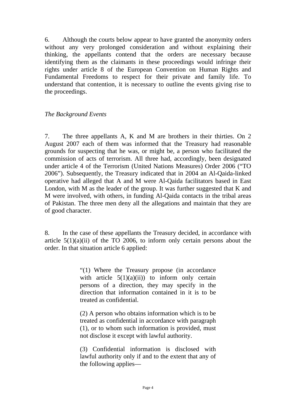6. Although the courts below appear to have granted the anonymity orders without any very prolonged consideration and without explaining their thinking, the appellants contend that the orders are necessary because identifying them as the claimants in these proceedings would infringe their rights under article 8 of the European Convention on Human Rights and Fundamental Freedoms to respect for their private and family life. To understand that contention, it is necessary to outline the events giving rise to the proceedings.

#### *The Background Events*

7. The three appellants A, K and M are brothers in their thirties. On 2 August 2007 each of them was informed that the Treasury had reasonable grounds for suspecting that he was, or might be, a person who facilitated the commission of acts of terrorism. All three had, accordingly, been designated under article 4 of the Terrorism (United Nations Measures) Order 2006 ("TO 2006"). Subsequently, the Treasury indicated that in 2004 an Al-Qaida-linked operative had alleged that A and M were Al-Qaida facilitators based in East London, with M as the leader of the group. It was further suggested that K and M were involved, with others, in funding Al-Qaida contacts in the tribal areas of Pakistan. The three men deny all the allegations and maintain that they are of good character.

8. In the case of these appellants the Treasury decided, in accordance with article  $5(1)(a)(ii)$  of the TO 2006, to inform only certain persons about the order. In that situation article 6 applied:

> "(1) Where the Treasury propose (in accordance with article  $5(1)(a)(ii)$  to inform only certain persons of a direction, they may specify in the direction that information contained in it is to be treated as confidential.

> (2) A person who obtains information which is to be treated as confidential in accordance with paragraph (1), or to whom such information is provided, must not disclose it except with lawful authority.

> (3) Confidential information is disclosed with lawful authority only if and to the extent that any of the following applies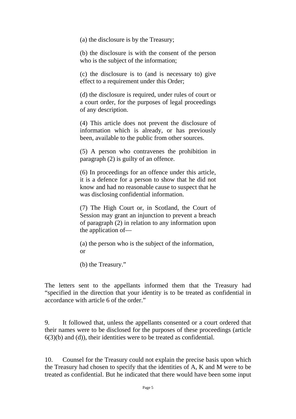(a) the disclosure is by the Treasury;

(b) the disclosure is with the consent of the person who is the subject of the information;

(c) the disclosure is to (and is necessary to) give effect to a requirement under this Order;

(d) the disclosure is required, under rules of court or a court order, for the purposes of legal proceedings of any description.

(4) This article does not prevent the disclosure of information which is already, or has previously been, available to the public from other sources.

(5) A person who contravenes the prohibition in paragraph (2) is guilty of an offence.

(6) In proceedings for an offence under this article, it is a defence for a person to show that he did not know and had no reasonable cause to suspect that he was disclosing confidential information.

(7) The High Court or, in Scotland, the Court of Session may grant an injunction to prevent a breach of paragraph (2) in relation to any information upon the application of—

(a) the person who is the subject of the information, or

(b) the Treasury."

The letters sent to the appellants informed them that the Treasury had "specified in the direction that your identity is to be treated as confidential in accordance with article 6 of the order."

9. It followed that, unless the appellants consented or a court ordered that their names were to be disclosed for the purposes of these proceedings (article  $6(3)(b)$  and  $(d)$ ), their identities were to be treated as confidential.

10. Counsel for the Treasury could not explain the precise basis upon which the Treasury had chosen to specify that the identities of A, K and M were to be treated as confidential. But he indicated that there would have been some input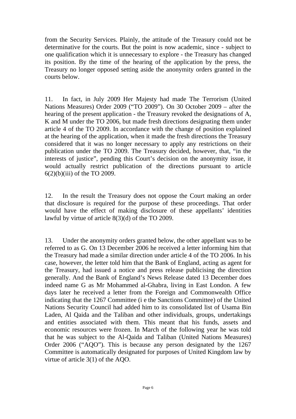from the Security Services. Plainly, the attitude of the Treasury could not be determinative for the courts. But the point is now academic, since - subject to one qualification which it is unnecessary to explore - the Treasury has changed its position. By the time of the hearing of the application by the press, the Treasury no longer opposed setting aside the anonymity orders granted in the courts below.

11. In fact, in July 2009 Her Majesty had made The Terrorism (United Nations Measures) Order 2009 ("TO 2009"). On 30 October 2009 – after the hearing of the present application - the Treasury revoked the designations of A, K and M under the TO 2006, but made fresh directions designating them under article 4 of the TO 2009. In accordance with the change of position explained at the hearing of the application, when it made the fresh directions the Treasury considered that it was no longer necessary to apply any restrictions on their publication under the TO 2009. The Treasury decided, however, that, "in the interests of justice", pending this Court's decision on the anonymity issue, it would actually restrict publication of the directions pursuant to article  $6(2)(b)(iii)$  of the TO 2009.

12. In the result the Treasury does not oppose the Court making an order that disclosure is required for the purpose of these proceedings. That order would have the effect of making disclosure of these appellants' identities lawful by virtue of article 8(3)(d) of the TO 2009.

13. Under the anonymity orders granted below, the other appellant was to be referred to as G. On 13 December 2006 he received a letter informing him that the Treasury had made a similar direction under article 4 of the TO 2006. In his case, however, the letter told him that the Bank of England, acting as agent for the Treasury, had issued a notice and press release publicising the direction generally. And the Bank of England's News Release dated 13 December does indeed name G as Mr Mohammed al-Ghabra, living in East London. A few days later he received a letter from the Foreign and Commonwealth Office indicating that the 1267 Committee (i e the Sanctions Committee) of the United Nations Security Council had added him to its consolidated list of Usama Bin Laden, Al Qaida and the Taliban and other individuals, groups, undertakings and entities associated with them. This meant that his funds, assets and economic resources were frozen. In March of the following year he was told that he was subject to the Al-Qaida and Taliban (United Nations Measures) Order 2006 ("AQO"). This is because any person designated by the 1267 Committee is automatically designated for purposes of United Kingdom law by virtue of article 3(1) of the AQO.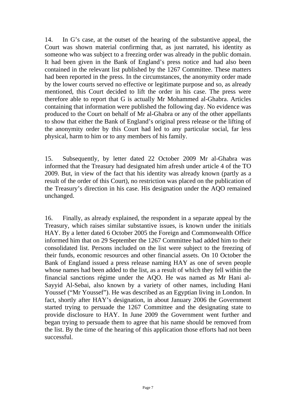14. In G's case, at the outset of the hearing of the substantive appeal, the Court was shown material confirming that, as just narrated, his identity as someone who was subject to a freezing order was already in the public domain. It had been given in the Bank of England's press notice and had also been contained in the relevant list published by the 1267 Committee. These matters had been reported in the press. In the circumstances, the anonymity order made by the lower courts served no effective or legitimate purpose and so, as already mentioned, this Court decided to lift the order in his case. The press were therefore able to report that G is actually Mr Mohammed al-Ghabra. Articles containing that information were published the following day. No evidence was produced to the Court on behalf of Mr al-Ghabra or any of the other appellants to show that either the Bank of England's original press release or the lifting of the anonymity order by this Court had led to any particular social, far less physical, harm to him or to any members of his family.

15. Subsequently, by letter dated 22 October 2009 Mr al-Ghabra was informed that the Treasury had designated him afresh under article 4 of the TO 2009. But, in view of the fact that his identity was already known (partly as a result of the order of this Court), no restriction was placed on the publication of the Treasury's direction in his case. His designation under the AQO remained unchanged.

16. Finally, as already explained, the respondent in a separate appeal by the Treasury, which raises similar substantive issues, is known under the initials HAY. By a letter dated 6 October 2005 the Foreign and Commonwealth Office informed him that on 29 September the 1267 Committee had added him to their consolidated list. Persons included on the list were subject to the freezing of their funds, economic resources and other financial assets. On 10 October the Bank of England issued a press release naming HAY as one of seven people whose names had been added to the list, as a result of which they fell within the financial sanctions régime under the AQO. He was named as Mr Hani al-Sayyid Al-Sebai, also known by a variety of other names, including Hani Youssef ("Mr Youssef"). He was described as an Egyptian living in London. In fact, shortly after HAY's designation, in about January 2006 the Government started trying to persuade the 1267 Committee and the designating state to provide disclosure to HAY. In June 2009 the Government went further and began trying to persuade them to agree that his name should be removed from the list. By the time of the hearing of this application those efforts had not been successful.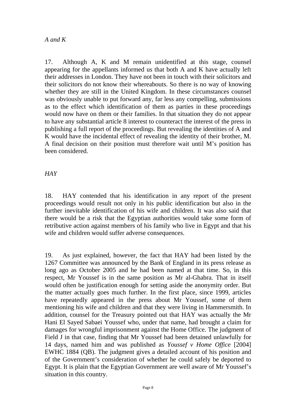17. Although A, K and M remain unidentified at this stage, counsel appearing for the appellants informed us that both A and K have actually left their addresses in London. They have not been in touch with their solicitors and their solicitors do not know their whereabouts. So there is no way of knowing whether they are still in the United Kingdom. In these circumstances counsel was obviously unable to put forward any, far less any compelling, submissions as to the effect which identification of them as parties in these proceedings would now have on them or their families. In that situation they do not appear to have any substantial article 8 interest to counteract the interest of the press in publishing a full report of the proceedings. But revealing the identities of A and K would have the incidental effect of revealing the identity of their brother, M. A final decision on their position must therefore wait until M's position has been considered.

## *HAY*

18. HAY contended that his identification in any report of the present proceedings would result not only in his public identification but also in the further inevitable identification of his wife and children. It was also said that there would be a risk that the Egyptian authorities would take some form of retributive action against members of his family who live in Egypt and that his wife and children would suffer adverse consequences.

19. As just explained, however, the fact that HAY had been listed by the 1267 Committee was announced by the Bank of England in its press release as long ago as October 2005 and he had been named at that time. So, in this respect, Mr Youssef is in the same position as Mr al-Ghabra. That in itself would often be justification enough for setting aside the anonymity order. But the matter actually goes much further. In the first place, since 1999, articles have repeatedly appeared in the press about Mr Youssef, some of them mentioning his wife and children and that they were living in Hammersmith. In addition, counsel for the Treasury pointed out that HAY was actually the Mr Hani El Sayed Sabaei Youssef who, under that name, had brought a claim for damages for wrongful imprisonment against the Home Office. The judgment of Field J in that case, finding that Mr Youssef had been detained unlawfully for 14 days, named him and was published as *Youssef v Home Office* [2004] EWHC 1884 (QB). The judgment gives a detailed account of his position and of the Government's consideration of whether he could safely be deported to Egypt. It is plain that the Egyptian Government are well aware of Mr Youssef's situation in this country.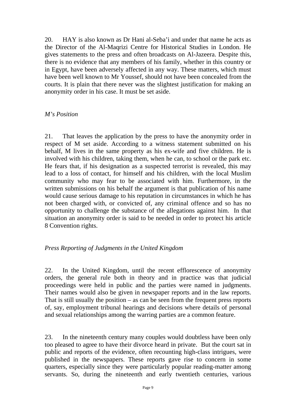20. HAY is also known as Dr Hani al-Seba'i and under that name he acts as the Director of the Al-Maqrizi Centre for Historical Studies in London. He gives statements to the press and often broadcasts on Al-Jazeera. Despite this, there is no evidence that any members of his family, whether in this country or in Egypt, have been adversely affected in any way. These matters, which must have been well known to Mr Youssef, should not have been concealed from the courts. It is plain that there never was the slightest justification for making an anonymity order in his case. It must be set aside.

#### *M's Position*

21. That leaves the application by the press to have the anonymity order in respect of M set aside. According to a witness statement submitted on his behalf, M lives in the same property as his ex-wife and five children. He is involved with his children, taking them, when he can, to school or the park etc. He fears that, if his designation as a suspected terrorist is revealed, this may lead to a loss of contact, for himself and his children, with the local Muslim community who may fear to be associated with him. Furthermore, in the written submissions on his behalf the argument is that publication of his name would cause serious damage to his reputation in circumstances in which he has not been charged with, or convicted of, any criminal offence and so has no opportunity to challenge the substance of the allegations against him. In that situation an anonymity order is said to be needed in order to protect his article 8 Convention rights.

#### *Press Reporting of Judgments in the United Kingdom*

22. In the United Kingdom, until the recent efflorescence of anonymity orders, the general rule both in theory and in practice was that judicial proceedings were held in public and the parties were named in judgments. Their names would also be given in newspaper reports and in the law reports. That is still usually the position – as can be seen from the frequent press reports of, say, employment tribunal hearings and decisions where details of personal and sexual relationships among the warring parties are a common feature.

23. In the nineteenth century many couples would doubtless have been only too pleased to agree to have their divorce heard in private. But the court sat in public and reports of the evidence, often recounting high-class intrigues, were published in the newspapers. These reports gave rise to concern in some quarters, especially since they were particularly popular reading-matter among servants. So, during the nineteenth and early twentieth centuries, various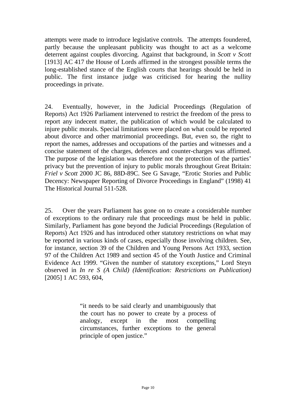attempts were made to introduce legislative controls. The attempts foundered, partly because the unpleasant publicity was thought to act as a welcome deterrent against couples divorcing. Against that background, in *Scott v Scott*  [1913] AC 417 the House of Lords affirmed in the strongest possible terms the long-established stance of the English courts that hearings should be held in public. The first instance judge was criticised for hearing the nullity proceedings in private.

24. Eventually, however, in the Judicial Proceedings (Regulation of Reports) Act 1926 Parliament intervened to restrict the freedom of the press to report any indecent matter, the publication of which would be calculated to injure public morals. Special limitations were placed on what could be reported about divorce and other matrimonial proceedings. But, even so, the right to report the names, addresses and occupations of the parties and witnesses and a concise statement of the charges, defences and counter-charges was affirmed. The purpose of the legislation was therefore not the protection of the parties' privacy but the prevention of injury to public morals throughout Great Britain: *Friel v Scott* 2000 JC 86, 88D-89C. See G Savage, "Erotic Stories and Public Decency: Newspaper Reporting of Divorce Proceedings in England" (1998) 41 The Historical Journal 511-528.

25. Over the years Parliament has gone on to create a considerable number of exceptions to the ordinary rule that proceedings must be held in public. Similarly, Parliament has gone beyond the Judicial Proceedings (Regulation of Reports) Act 1926 and has introduced other statutory restrictions on what may be reported in various kinds of cases, especially those involving children. See, for instance, section 39 of the Children and Young Persons Act 1933, section 97 of the Children Act 1989 and section 45 of the Youth Justice and Criminal Evidence Act 1999. "Given the number of statutory exceptions," Lord Steyn observed in *In re S (A Child) (Identification: Restrictions on Publication)*  [2005] 1 AC 593, 604,

> "it needs to be said clearly and unambiguously that the court has no power to create by a process of analogy, except in the most compelling circumstances, further exceptions to the general principle of open justice."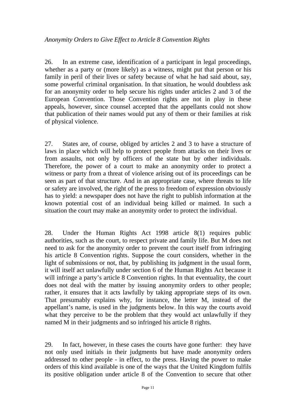#### *Anonymity Orders to Give Effect to Article 8 Convention Rights*

26. In an extreme case, identification of a participant in legal proceedings, whether as a party or (more likely) as a witness, might put that person or his family in peril of their lives or safety because of what he had said about, say, some powerful criminal organisation. In that situation, he would doubtless ask for an anonymity order to help secure his rights under articles 2 and 3 of the European Convention. Those Convention rights are not in play in these appeals, however, since counsel accepted that the appellants could not show that publication of their names would put any of them or their families at risk of physical violence.

27. States are, of course, obliged by articles 2 and 3 to have a structure of laws in place which will help to protect people from attacks on their lives or from assaults, not only by officers of the state but by other individuals. Therefore, the power of a court to make an anonymity order to protect a witness or party from a threat of violence arising out of its proceedings can be seen as part of that structure. And in an appropriate case, where threats to life or safety are involved, the right of the press to freedom of expression obviously has to yield: a newspaper does not have the right to publish information at the known potential cost of an individual being killed or maimed. In such a situation the court may make an anonymity order to protect the individual.

28. Under the Human Rights Act 1998 article 8(1) requires public authorities, such as the court, to respect private and family life. But M does not need to ask for the anonymity order to prevent the court itself from infringing his article 8 Convention rights. Suppose the court considers, whether in the light of submissions or not, that, by publishing its judgment in the usual form, it will itself act unlawfully under section 6 of the Human Rights Act because it will infringe a party's article 8 Convention rights. In that eventuality, the court does not deal with the matter by issuing anonymity orders to other people; rather, it ensures that it acts lawfully by taking appropriate steps of its own. That presumably explains why, for instance, the letter M, instead of the appellant's name, is used in the judgments below. In this way the courts avoid what they perceive to be the problem that they would act unlawfully if they named M in their judgments and so infringed his article 8 rights.

29. In fact, however, in these cases the courts have gone further: they have not only used initials in their judgments but have made anonymity orders addressed to other people - in effect, to the press. Having the power to make orders of this kind available is one of the ways that the United Kingdom fulfils its positive obligation under article 8 of the Convention to secure that other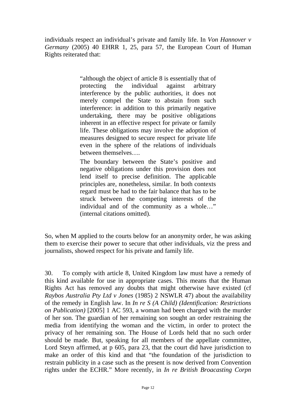individuals respect an individual's private and family life. In *Von Hannover v Germany* (2005) 40 EHRR 1, 25, para 57, the European Court of Human Rights reiterated that:

> "although the object of article 8 is essentially that of protecting the individual against arbitrary interference by the public authorities, it does not merely compel the State to abstain from such interference: in addition to this primarily negative undertaking, there may be positive obligations inherent in an effective respect for private or family life. These obligations may involve the adoption of measures designed to secure respect for private life even in the sphere of the relations of individuals between themselves….

> The boundary between the State's positive and negative obligations under this provision does not lend itself to precise definition. The applicable principles are, nonetheless, similar. In both contexts regard must be had to the fair balance that has to be struck between the competing interests of the individual and of the community as a whole…" (internal citations omitted).

So, when M applied to the courts below for an anonymity order, he was asking them to exercise their power to secure that other individuals, viz the press and journalists, showed respect for his private and family life.

30. To comply with article 8, United Kingdom law must have a remedy of this kind available for use in appropriate cases. This means that the Human Rights Act has removed any doubts that might otherwise have existed (cf *Raybos Australia Pty Ltd v Jones* (1985) 2 NSWLR 47) about the availability of the remedy in English law. In *In re S (A Child) (Identification: Restrictions on Publication)* [2005] 1 AC 593, a woman had been charged with the murder of her son. The guardian of her remaining son sought an order restraining the media from identifying the woman and the victim, in order to protect the privacy of her remaining son. The House of Lords held that no such order should be made. But, speaking for all members of the appellate committee, Lord Steyn affirmed, at p 605, para 23, that the court did have jurisdiction to make an order of this kind and that "the foundation of the jurisdiction to restrain publicity in a case such as the present is now derived from Convention rights under the ECHR." More recently, in *In re British Broacasting Corpn*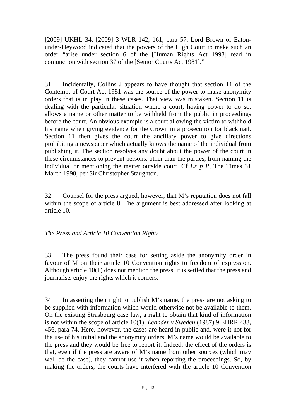[2009] UKHL 34; [2009] 3 WLR 142, 161, para 57, Lord Brown of Eatonunder-Heywood indicated that the powers of the High Court to make such an order "arise under section 6 of the [Human Rights Act 1998] read in conjunction with section 37 of the [Senior Courts Act 1981]."

31. Incidentally, Collins J appears to have thought that section 11 of the Contempt of Court Act 1981 was the source of the power to make anonymity orders that is in play in these cases. That view was mistaken. Section 11 is dealing with the particular situation where a court, having power to do so, allows a name or other matter to be withheld from the public in proceedings before the court. An obvious example is a court allowing the victim to withhold his name when giving evidence for the Crown in a prosecution for blackmail. Section 11 then gives the court the ancillary power to give directions prohibiting a newspaper which actually knows the name of the individual from publishing it. The section resolves any doubt about the power of the court in these circumstances to prevent persons, other than the parties, from naming the individual or mentioning the matter outside court. Cf *Ex p P*, The Times 31 March 1998, per Sir Christopher Staughton.

32. Counsel for the press argued, however, that M's reputation does not fall within the scope of article 8. The argument is best addressed after looking at article 10.

## *The Press and Article 10 Convention Rights*

33. The press found their case for setting aside the anonymity order in favour of M on their article 10 Convention rights to freedom of expression. Although article 10(1) does not mention the press, it is settled that the press and journalists enjoy the rights which it confers.

34. In asserting their right to publish M's name, the press are not asking to be supplied with information which would otherwise not be available to them. On the existing Strasbourg case law, a right to obtain that kind of information is not within the scope of article 10(1): *Leander v Sweden* (1987) 9 EHRR 433, 456, para 74. Here, however, the cases are heard in public and, were it not for the use of his initial and the anonymity orders, M's name would be available to the press and they would be free to report it. Indeed, the effect of the orders is that, even if the press are aware of M's name from other sources (which may well be the case), they cannot use it when reporting the proceedings. So, by making the orders, the courts have interfered with the article 10 Convention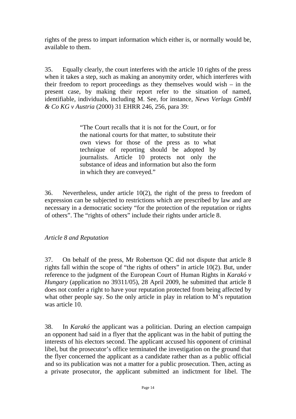rights of the press to impart information which either is, or normally would be, available to them.

35. Equally clearly, the court interferes with the article 10 rights of the press when it takes a step, such as making an anonymity order, which interferes with their freedom to report proceedings as they themselves would wish – in the present case, by making their report refer to the situation of named, identifiable, individuals, including M. See, for instance, *News Verlags GmbH & Co KG v Austria* (2000) 31 EHRR 246, 256, para 39:

> "The Court recalls that it is not for the Court, or for the national courts for that matter, to substitute their own views for those of the press as to what technique of reporting should be adopted by journalists. Article 10 protects not only the substance of ideas and information but also the form in which they are conveyed."

36. Nevertheless, under article 10(2), the right of the press to freedom of expression can be subjected to restrictions which are prescribed by law and are necessary in a democratic society "for the protection of the reputation or rights of others". The "rights of others" include their rights under article 8.

## *Article 8 and Reputation*

37. On behalf of the press, Mr Robertson QC did not dispute that article 8 rights fall within the scope of "the rights of others" in article 10(2). But, under reference to the judgment of the European Court of Human Rights in *Karakó v Hungary* (application no 39311/05), 28 April 2009, he submitted that article 8 does not confer a right to have your reputation protected from being affected by what other people say. So the only article in play in relation to M's reputation was article 10.

38. In *Karakó* the applicant was a politician. During an election campaign an opponent had said in a flyer that the applicant was in the habit of putting the interests of his electors second. The applicant accused his opponent of criminal libel, but the prosecutor's office terminated the investigation on the ground that the flyer concerned the applicant as a candidate rather than as a public official and so its publication was not a matter for a public prosecution. Then, acting as a private prosecutor, the applicant submitted an indictment for libel. The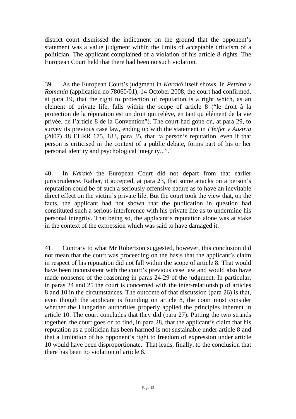district court dismissed the indictment on the ground that the opponent's statement was a value judgment within the limits of acceptable criticism of a politician. The applicant complained of a violation of his article 8 rights. The European Court held that there had been no such violation.

39. As the European Court's judgment in *Karakó* itself shows, in *Petrina v Romania* (application no 78060/01), 14 October 2008, the court had confirmed, at para 19, that the right to protection of reputation is a right which, as an element of private life, falls within the scope of article 8 ("le droit à la protection de la réputation est un droit qui relève, en tant qu'élément de la vie privée, de l'article 8 de la Convention"). The court had gone on, at para 29, to survey its previous case law, ending up with the statement in *Pfeifer v Austria* (2007) 48 EHRR 175, 183, para 35, that "a person's reputation, even if that person is criticised in the context of a public debate, forms part of his or her personal identity and psychological integrity...".

40. In *Karakó* the European Court did not depart from that earlier jurisprudence. Rather, it accepted, at para 23, that some attacks on a person's reputation could be of such a seriously offensive nature as to have an inevitable direct effect on the victim's private life. But the court took the view that, on the facts, the applicant had not shown that the publication in question had constituted such a serious interference with his private life as to undermine his personal integrity. That being so, the applicant's reputation alone was at stake in the context of the expression which was said to have damaged it.

41. Contrary to what Mr Robertson suggested, however, this conclusion did not mean that the court was proceeding on the basis that the applicant's claim in respect of his reputation did not fall within the scope of article 8. That would have been inconsistent with the court's previous case law and would also have made nonsense of the reasoning in paras 24-29 of the judgment. In particular, in paras 24 and 25 the court is concerned with the inter-relationship of articles 8 and 10 in the circumstances. The outcome of that discussion (para 26) is that, even though the applicant is founding on article 8, the court must consider whether the Hungarian authorities properly applied the principles inherent in article 10. The court concludes that they did (para 27). Putting the two strands together, the court goes on to find, in para 28, that the applicant's claim that his reputation as a politician has been harmed is not sustainable under article 8 and that a limitation of his opponent's right to freedom of expression under article 10 would have been disproportionate. That leads, finally, to the conclusion that there has been no violation of article 8.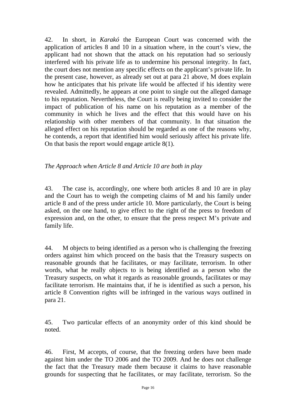42. In short, in *Karakó* the European Court was concerned with the application of articles 8 and 10 in a situation where, in the court's view, the applicant had not shown that the attack on his reputation had so seriously interfered with his private life as to undermine his personal integrity. In fact, the court does not mention any specific effects on the applicant's private life. In the present case, however, as already set out at para 21 above, M does explain how he anticipates that his private life would be affected if his identity were revealed. Admittedly, he appears at one point to single out the alleged damage to his reputation. Nevertheless, the Court is really being invited to consider the impact of publication of his name on his reputation as a member of the community in which he lives and the effect that this would have on his relationship with other members of that community. In that situation the alleged effect on his reputation should be regarded as one of the reasons why, he contends, a report that identified him would seriously affect his private life. On that basis the report would engage article 8(1).

## *The Approach when Article 8 and Article 10 are both in play*

43. The case is, accordingly, one where both articles 8 and 10 are in play and the Court has to weigh the competing claims of M and his family under article 8 and of the press under article 10. More particularly, the Court is being asked, on the one hand, to give effect to the right of the press to freedom of expression and, on the other, to ensure that the press respect M's private and family life.

44. M objects to being identified as a person who is challenging the freezing orders against him which proceed on the basis that the Treasury suspects on reasonable grounds that he facilitates, or may facilitate, terrorism. In other words, what he really objects to is being identified as a person who the Treasury suspects, on what it regards as reasonable grounds, facilitates or may facilitate terrorism. He maintains that, if he is identified as such a person, his article 8 Convention rights will be infringed in the various ways outlined in para 21.

45. Two particular effects of an anonymity order of this kind should be noted.

46. First, M accepts, of course, that the freezing orders have been made against him under the TO 2006 and the TO 2009. And he does not challenge the fact that the Treasury made them because it claims to have reasonable grounds for suspecting that he facilitates, or may facilitate, terrorism. So the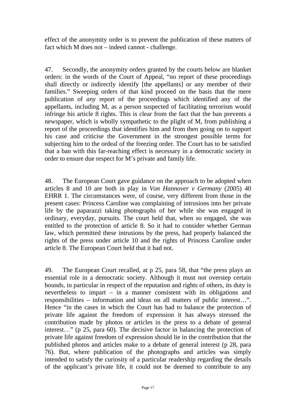effect of the anonymity order is to prevent the publication of these matters of fact which M does not – indeed cannot - challenge.

47. Secondly, the anonymity orders granted by the courts below are blanket orders: in the words of the Court of Appeal, "no report of these proceedings shall directly or indirectly identify [the appellants] or any member of their families." Sweeping orders of that kind proceed on the basis that the mere publication of *any* report of the proceedings which identified any of the appellants, including M, as a person suspected of facilitating terrorism would infringe his article 8 rights. This is clear from the fact that the ban prevents a newspaper, which is wholly sympathetic to the plight of M, from publishing a report of the proceedings that identifies him and from then going on to support his case and criticise the Government in the strongest possible terms for subjecting him to the ordeal of the freezing order. The Court has to be satisfied that a ban with this far-reaching effect is necessary in a democratic society in order to ensure due respect for M's private and family life.

48. The European Court gave guidance on the approach to be adopted when articles 8 and 10 are both in play in *Von Hannover v Germany* (2005) 40 EHRR 1. The circumstances were, of course, very different from those in the present cases: Princess Caroline was complaining of intrusions into her private life by the paparazzi taking photographs of her while she was engaged in ordinary, everyday, pursuits. The court held that, when so engaged, she was entitled to the protection of article 8. So it had to consider whether German law, which permitted these intrusions by the press, had properly balanced the rights of the press under article 10 and the rights of Princess Caroline under article 8. The European Court held that it had not.

49. The European Court recalled, at p 25, para 58, that "the press plays an essential role in a democratic society. Although it must not overstep certain bounds, in particular in respect of the reputation and rights of others, its duty is nevertheless to impart – in a manner consistent with its obligations and responsibilities – information and ideas on all matters of public interest…". Hence "in the cases in which the Court has had to balance the protection of private life against the freedom of expression it has always stressed the contribution made by photos or articles in the press to a debate of general interest…" (p 25, para 60). The decisive factor in balancing the protection of private life against freedom of expression should lie in the contribution that the published photos and articles make to a debate of general interest (p 28, para 76). But, where publication of the photographs and articles was simply intended to satisfy the curiosity of a particular readership regarding the details of the applicant's private life, it could not be deemed to contribute to any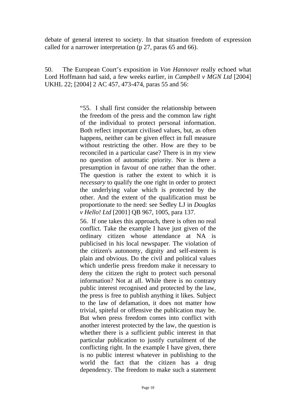debate of general interest to society. In that situation freedom of expression called for a narrower interpretation (p 27, paras 65 and 66).

50. The European Court's exposition in *Von Hannover* really echoed what Lord Hoffmann had said, a few weeks earlier, in *Campbell v MGN Ltd* [2004] UKHL 22; [2004] 2 AC 457, 473-474, paras 55 and 56:

> "55. I shall first consider the relationship between the freedom of the press and the common law right of the individual to protect personal information. Both reflect important civilised values, but, as often happens, neither can be given effect in full measure without restricting the other. How are they to be reconciled in a particular case? There is in my view no question of automatic priority. Nor is there a presumption in favour of one rather than the other. The question is rather the extent to which it is *necessary* to qualify the one right in order to protect the underlying value which is protected by the other. And the extent of the qualification must be proportionate to the need: see Sedley LJ in *Douglas v Hello! Ltd* [2001] QB 967, 1005, para 137.

56. If one takes this approach, there is often no real conflict. Take the example I have just given of the ordinary citizen whose attendance at NA is publicised in his local newspaper. The violation of the citizen's autonomy, dignity and self-esteem is plain and obvious. Do the civil and political values which underlie press freedom make it necessary to deny the citizen the right to protect such personal information? Not at all. While there is no contrary public interest recognised and protected by the law, the press is free to publish anything it likes. Subject to the law of defamation, it does not matter how trivial, spiteful or offensive the publication may be. But when press freedom comes into conflict with another interest protected by the law, the question is whether there is a sufficient public interest in that particular publication to justify curtailment of the conflicting right. In the example I have given, there is no public interest whatever in publishing to the world the fact that the citizen has a drug dependency. The freedom to make such a statement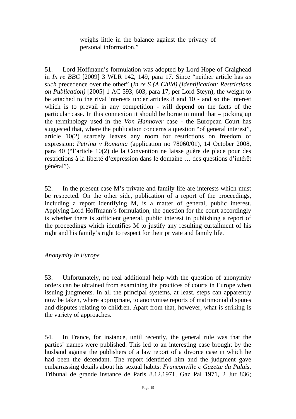weighs little in the balance against the privacy of personal information."

51. Lord Hoffmann's formulation was adopted by Lord Hope of Craighead in *In re BBC* [2009] 3 WLR 142, 149, para 17. Since "neither article has *as such* precedence over the other" (*In re S (A Child) (Identification: Restrictions on Publication)* [2005] 1 AC 593, 603, para 17, per Lord Steyn), the weight to be attached to the rival interests under articles 8 and 10 - and so the interest which is to prevail in any competition - will depend on the facts of the particular case. In this connexion it should be borne in mind that – picking up the terminology used in the *Von Hannover* case - the European Court has suggested that, where the publication concerns a question "of general interest", article 10(2) scarcely leaves any room for restrictions on freedom of expression: *Petrina v Romania* (application no 78060/01), 14 October 2008, para 40 ("l'article 10(2) de la Convention ne laisse guère de place pour des restrictions à la liberté d'expression dans le domaine … des questions d'intérêt général").

52. In the present case M's private and family life are interests which must be respected. On the other side, publication of a report of the proceedings, including a report identifying M, is a matter of general, public interest. Applying Lord Hoffmann's formulation, the question for the court accordingly is whether there is sufficient general, public interest in publishing a report of the proceedings which identifies M to justify any resulting curtailment of his right and his family's right to respect for their private and family life.

#### *Anonymity in Europe*

53. Unfortunately, no real additional help with the question of anonymity orders can be obtained from examining the practices of courts in Europe when issuing judgments. In all the principal systems, at least, steps can apparently now be taken, where appropriate, to anonymise reports of matrimonial disputes and disputes relating to children. Apart from that, however, what is striking is the variety of approaches.

54. In France, for instance, until recently, the general rule was that the parties' names were published. This led to an interesting case brought by the husband against the publishers of a law report of a divorce case in which he had been the defendant. The report identified him and the judgment gave embarrassing details about his sexual habits: *Franconville c Gazette du Palais*, Tribunal de grande instance de Paris 8.12.1971, Gaz Pal 1971, 2 Jur 836;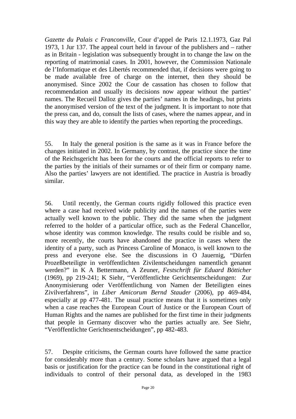*Gazette du Palais c Franconville*, Cour d'appel de Paris 12.1.1973, Gaz Pal 1973, 1 Jur 137. The appeal court held in favour of the publishers and – rather as in Britain - legislation was subsequently brought in to change the law on the reporting of matrimonial cases. In 2001, however, the Commission Nationale de l'Informatique et des Libertés recommended that, if decisions were going to be made available free of charge on the internet, then they should be anonymised. Since 2002 the Cour de cassation has chosen to follow that recommendation and usually its decisions now appear without the parties' names. The Recueil Dalloz gives the parties' names in the headings, but prints the anonymised version of the text of the judgment. It is important to note that the press can, and do, consult the lists of cases, where the names appear, and in this way they are able to identify the parties when reporting the proceedings.

55. In Italy the general position is the same as it was in France before the changes initiated in 2002. In Germany, by contrast, the practice since the time of the Reichsgericht has been for the courts and the official reports to refer to the parties by the initials of their surnames or of their firm or company name. Also the parties' lawyers are not identified. The practice in Austria is broadly similar.

56. Until recently, the German courts rigidly followed this practice even where a case had received wide publicity and the names of the parties were actually well known to the public. They did the same when the judgment referred to the holder of a particular office, such as the Federal Chancellor, whose identity was common knowledge. The results could be risible and so, more recently, the courts have abandoned the practice in cases where the identity of a party, such as Princess Caroline of Monaco, is well known to the press and everyone else. See the discussions in O Jauernig, "Dürfen Prozeßbeteiligte in veröffentlichten Zivilentscheidungen namentlich genannt werden?" in K A Bettermann, A Zeuner, *Festschrift für Eduard Bötticher* (1969), pp 219-241; K Siehr, "Veröffentlichte Gerichtsentscheidungen: Zur Anonymisierung oder Veröffentlichung von Namen der Beteiligten eines Zivilverfahrens", in *Liber Amicorum Bernd Stauder* (2006), pp 469-484, especially at pp 477-481. The usual practice means that it is sometimes only when a case reaches the European Court of Justice or the European Court of Human Rights and the names are published for the first time in their judgments that people in Germany discover who the parties actually are. See Siehr, "Veröffentlichte Gerichtsentscheidungen", pp 482-483.

57. Despite criticisms, the German courts have followed the same practice for considerably more than a century. Some scholars have argued that a legal basis or justification for the practice can be found in the constitutional right of individuals to control of their personal data, as developed in the 1983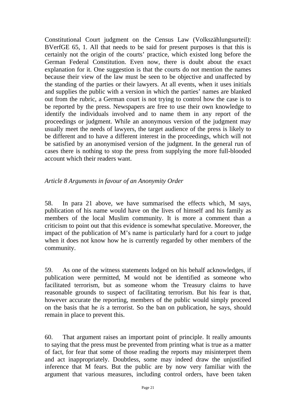Constitutional Court judgment on the Census Law (Volkszählungsurteil): BVerfGE 65, 1. All that needs to be said for present purposes is that this is certainly not the origin of the courts' practice, which existed long before the German Federal Constitution. Even now, there is doubt about the exact explanation for it. One suggestion is that the courts do not mention the names because their view of the law must be seen to be objective and unaffected by the standing of the parties or their lawyers. At all events, when it uses initials and supplies the public with a version in which the parties' names are blanked out from the rubric, a German court is not trying to control how the case is to be reported by the press. Newspapers are free to use their own knowledge to identify the individuals involved and to name them in any report of the proceedings or judgment. While an anonymous version of the judgment may usually meet the needs of lawyers, the target audience of the press is likely to be different and to have a different interest in the proceedings, which will not be satisfied by an anonymised version of the judgment. In the general run of cases there is nothing to stop the press from supplying the more full-blooded account which their readers want.

## *Article 8 Arguments in favour of an Anonymity Order*

58. In para 21 above, we have summarised the effects which, M says, publication of his name would have on the lives of himself and his family as members of the local Muslim community. It is more a comment than a criticism to point out that this evidence is somewhat speculative. Moreover, the impact of the publication of M's name is particularly hard for a court to judge when it does not know how he is currently regarded by other members of the community.

59. As one of the witness statements lodged on his behalf acknowledges, if publication were permitted, M would not be identified as someone who facilitated terrorism, but as someone whom the Treasury claims to have reasonable grounds to suspect of facilitating terrorism. But his fear is that, however accurate the reporting, members of the public would simply proceed on the basis that he *is* a terrorist. So the ban on publication, he says, should remain in place to prevent this.

60. That argument raises an important point of principle. It really amounts to saying that the press must be prevented from printing what is true as a matter of fact, for fear that some of those reading the reports may misinterpret them and act inappropriately. Doubtless, some may indeed draw the unjustified inference that M fears. But the public are by now very familiar with the argument that various measures, including control orders, have been taken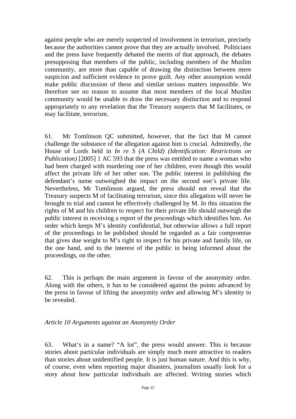against people who are merely suspected of involvement in terrorism, precisely because the authorities cannot prove that they are actually involved. Politicians and the press have frequently debated the merits of that approach, the debates presupposing that members of the public, including members of the Muslim community, are more than capable of drawing the distinction between mere suspicion and sufficient evidence to prove guilt. Any other assumption would make public discussion of these and similar serious matters impossible. We therefore see no reason to assume that most members of the local Muslim community would be unable to draw the necessary distinction and to respond appropriately to any revelation that the Treasury suspects that M facilitates, or may facilitate, terrorism.

61. Mr Tomlinson QC submitted, however, that the fact that M cannot challenge the substance of the allegation against him is crucial. Admittedly, the House of Lords held in *In re S (A Child) (Identification: Restrictions on Publication*) [2005] 1 AC 593 that the press was entitled to name a woman who had been charged with murdering one of her children, even though this would affect the private life of her other son. The public interest in publishing the defendant's name outweighed the impact on the second son's private life. Nevertheless, Mr Tomlinson argued, the press should not reveal that the Treasury suspects M of facilitating terrorism, since this allegation will never be brought to trial and cannot be effectively challenged by M. In this situation the rights of M and his children to respect for their private life should outweigh the public interest in receiving a report of the proceedings which identifies him. An order which keeps M's identity confidential, but otherwise allows a full report of the proceedings to be published should be regarded as a fair compromise that gives due weight to M's right to respect for his private and family life, on the one hand, and to the interest of the public in being informed about the proceedings, on the other.

62. This is perhaps the main argument in favour of the anonymity order. Along with the others, it has to be considered against the points advanced by the press in favour of lifting the anonymity order and allowing M's identity to be revealed.

#### *Article 10 Arguments against an Anonymity Order*

63. What's in a name? "A lot", the press would answer. This is because stories about particular individuals are simply much more attractive to readers than stories about unidentified people. It is just human nature. And this is why, of course, even when reporting major disasters, journalists usually look for a story about how particular individuals are affected. Writing stories which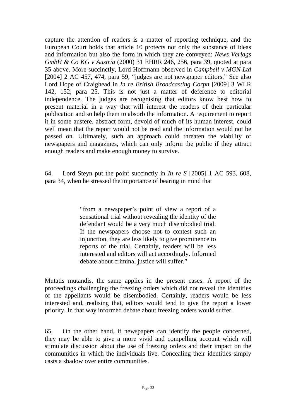capture the attention of readers is a matter of reporting technique, and the European Court holds that article 10 protects not only the substance of ideas and information but also the form in which they are conveyed: *News Verlags GmbH & Co KG v Austria* (2000) 31 EHRR 246, 256, para 39, quoted at para 35 above. More succinctly, Lord Hoffmann observed in *Campbell v MGN Ltd*  [2004] 2 AC 457, 474, para 59, "judges are not newspaper editors." See also Lord Hope of Craighead in *In re British Broadcasting Corpn* [2009] 3 WLR 142, 152, para 25. This is not just a matter of deference to editorial independence. The judges are recognising that editors know best how to present material in a way that will interest the readers of their particular publication and so help them to absorb the information. A requirement to report it in some austere, abstract form, devoid of much of its human interest, could well mean that the report would not be read and the information would not be passed on. Ultimately, such an approach could threaten the viability of newspapers and magazines, which can only inform the public if they attract enough readers and make enough money to survive.

64. Lord Steyn put the point succinctly in *In re S* [2005] 1 AC 593, 608, para 34, when he stressed the importance of bearing in mind that

> "from a newspaper's point of view a report of a sensational trial without revealing the identity of the defendant would be a very much disembodied trial. If the newspapers choose not to contest such an injunction, they are less likely to give prominence to reports of the trial. Certainly, readers will be less interested and editors will act accordingly. Informed debate about criminal justice will suffer."

Mutatis mutandis, the same applies in the present cases. A report of the proceedings challenging the freezing orders which did not reveal the identities of the appellants would be disembodied. Certainly, readers would be less interested and, realising that, editors would tend to give the report a lower priority. In that way informed debate about freezing orders would suffer.

65. On the other hand, if newspapers can identify the people concerned, they may be able to give a more vivid and compelling account which will stimulate discussion about the use of freezing orders and their impact on the communities in which the individuals live. Concealing their identities simply casts a shadow over entire communities.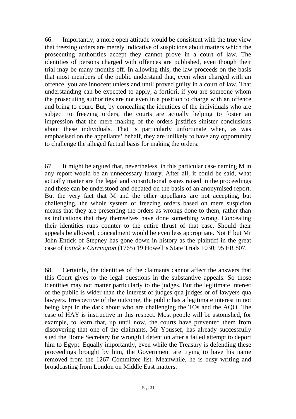66. Importantly, a more open attitude would be consistent with the true view that freezing orders are merely indicative of suspicions about matters which the prosecuting authorities accept they cannot prove in a court of law. The identities of persons charged with offences are published, even though their trial may be many months off. In allowing this, the law proceeds on the basis that most members of the public understand that, even when charged with an offence, you are innocent unless and until proved guilty in a court of law. That understanding can be expected to apply, a fortiori, if you are someone whom the prosecuting authorities are not even in a position to charge with an offence and bring to court. But, by concealing the identities of the individuals who are subject to freezing orders, the courts are actually helping to foster an impression that the mere making of the orders justifies sinister conclusions about these individuals. That is particularly unfortunate when, as was emphasised on the appellants' behalf, they are unlikely to have any opportunity to challenge the alleged factual basis for making the orders.

67. It might be argued that, nevertheless, in this particular case naming M in any report would be an unnecessary luxury. After all, it could be said, what actually matter are the legal and constitutional issues raised in the proceedings and these can be understood and debated on the basis of an anonymised report. But the very fact that M and the other appellants are not accepting, but challenging, the whole system of freezing orders based on mere suspicion means that they are presenting the orders as wrongs done to them, rather than as indications that they themselves have done something wrong. Concealing their identities runs counter to the entire thrust of that case. Should their appeals be allowed, concealment would be even less appropriate. Not E but Mr John Entick of Stepney has gone down in history as the plaintiff in the great case of *Entick v Carrington* (1765) 19 Howell's State Trials 1030; 95 ER 807.

68. Certainly, the identities of the claimants cannot affect the answers that this Court gives to the legal questions in the substantive appeals. So those identities may not matter particularly to the judges. But the legitimate interest of the public is wider than the interest of judges qua judges or of lawyers qua lawyers. Irrespective of the outcome, the public has a legitimate interest in not being kept in the dark about who are challenging the TOs and the AQO. The case of HAY is instructive in this respect. Most people will be astonished, for example, to learn that, up until now, the courts have prevented them from discovering that one of the claimants, Mr Youssef, has already successfully sued the Home Secretary for wrongful detention after a failed attempt to deport him to Egypt. Equally importantly, even while the Treasury is defending these proceedings brought by him, the Government are trying to have his name removed from the 1267 Committee list. Meanwhile, he is busy writing and broadcasting from London on Middle East matters.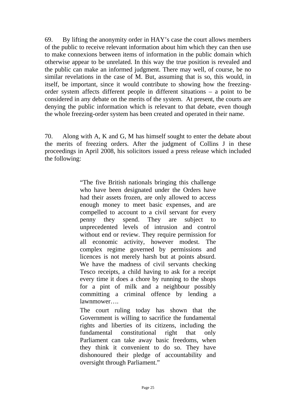69. By lifting the anonymity order in HAY's case the court allows members of the public to receive relevant information about him which they can then use to make connexions between items of information in the public domain which otherwise appear to be unrelated. In this way the true position is revealed and the public can make an informed judgment. There may well, of course, be no similar revelations in the case of M. But, assuming that is so, this would, in itself, be important, since it would contribute to showing how the freezingorder system affects different people in different situations – a point to be considered in any debate on the merits of the system. At present, the courts are denying the public information which is relevant to that debate, even though the whole freezing-order system has been created and operated in their name.

70. Along with A, K and G, M has himself sought to enter the debate about the merits of freezing orders. After the judgment of Collins J in these proceedings in April 2008, his solicitors issued a press release which included the following:

> "The five British nationals bringing this challenge who have been designated under the Orders have had their assets frozen, are only allowed to access enough money to meet basic expenses, and are compelled to account to a civil servant for every penny they spend. They are subject to unprecedented levels of intrusion and control without end or review. They require permission for all economic activity, however modest. The complex regime governed by permissions and licences is not merely harsh but at points absurd. We have the madness of civil servants checking Tesco receipts, a child having to ask for a receipt every time it does a chore by running to the shops for a pint of milk and a neighbour possibly committing a criminal offence by lending a lawnmower….

> The court ruling today has shown that the Government is willing to sacrifice the fundamental rights and liberties of its citizens, including the fundamental constitutional right that only Parliament can take away basic freedoms, when they think it convenient to do so. They have dishonoured their pledge of accountability and oversight through Parliament."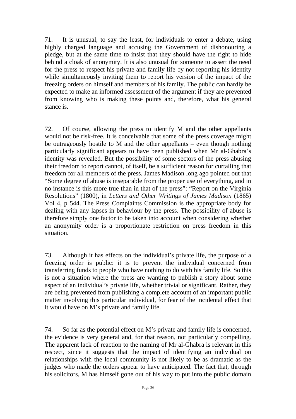71. It is unusual, to say the least, for individuals to enter a debate, using highly charged language and accusing the Government of dishonouring a pledge, but at the same time to insist that they should have the right to hide behind a cloak of anonymity. It is also unusual for someone to assert the need for the press to respect his private and family life by not reporting his identity while simultaneously inviting them to report his version of the impact of the freezing orders on himself and members of his family. The public can hardly be expected to make an informed assessment of the argument if they are prevented from knowing who is making these points and, therefore, what his general stance is.

72. Of course, allowing the press to identify M and the other appellants would not be risk-free. It is conceivable that some of the press coverage might be outrageously hostile to M and the other appellants – even though nothing particularly significant appears to have been published when Mr al-Ghabra's identity was revealed. But the possibility of some sectors of the press abusing their freedom to report cannot, of itself, be a sufficient reason for curtailing that freedom for all members of the press. James Madison long ago pointed out that "Some degree of abuse is inseparable from the proper use of everything, and in no instance is this more true than in that of the press": "Report on the Virginia Resolutions" (1800), in *Letters and Other Writings of James Madison* (1865) Vol 4, p 544. The Press Complaints Commission is the appropriate body for dealing with any lapses in behaviour by the press. The possibility of abuse is therefore simply one factor to be taken into account when considering whether an anonymity order is a proportionate restriction on press freedom in this situation.

73. Although it has effects on the individual's private life, the purpose of a freezing order is public: it is to prevent the individual concerned from transferring funds to people who have nothing to do with his family life. So this is not a situation where the press are wanting to publish a story about some aspect of an individual's private life, whether trivial or significant. Rather, they are being prevented from publishing a complete account of an important public matter involving this particular individual, for fear of the incidental effect that it would have on M's private and family life.

74. So far as the potential effect on M's private and family life is concerned, the evidence is very general and, for that reason, not particularly compelling. The apparent lack of reaction to the naming of Mr al-Ghabra is relevant in this respect, since it suggests that the impact of identifying an individual on relationships with the local community is not likely to be as dramatic as the judges who made the orders appear to have anticipated. The fact that, through his solicitors, M has himself gone out of his way to put into the public domain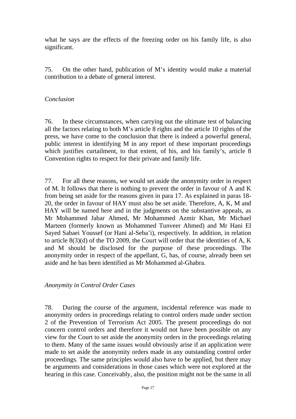what he says are the effects of the freezing order on his family life, is also significant.

75. On the other hand, publication of M's identity would make a material contribution to a debate of general interest.

#### *Conclusion*

76. In these circumstances, when carrying out the ultimate test of balancing all the factors relating to both M's article 8 rights and the article 10 rights of the press, we have come to the conclusion that there is indeed a powerful general, public interest in identifying M in any report of these important proceedings which justifies curtailment, to that extent, of his, and his family's, article 8 Convention rights to respect for their private and family life.

77. For all these reasons, we would set aside the anonymity order in respect of M. It follows that there is nothing to prevent the order in favour of A and K from being set aside for the reasons given in para 17. As explained in paras 18- 20, the order in favour of HAY must also be set aside. Therefore, A, K, M and HAY will be named here and in the judgments on the substantive appeals, as Mr Mohammed Jabar Ahmed, Mr Mohammed Azmir Khan, Mr Michael Marteen (formerly known as Mohammed Tunveer Ahmed) and Mr Hani El Sayed Sabaei Youssef (or Hani al-Seba'i), respectively. In addition, in relation to article 8(3)(d) of the TO 2009, the Court will order that the identities of A, K and M should be disclosed for the purpose of these proceedings. The anonymity order in respect of the appellant, G, has, of course, already been set aside and he has been identified as Mr Mohammed al-Ghabra.

*Anonymity in Control Order Cases* 

78. During the course of the argument, incidental reference was made to anonymity orders in proceedings relating to control orders made under section 2 of the Prevention of Terrorism Act 2005. The present proceedings do not concern control orders and therefore it would not have been possible on any view for the Court to set aside the anonymity orders in the proceedings relating to them. Many of the same issues would obviously arise if an application were made to set aside the anonymity orders made in any outstanding control order proceedings. The same principles would also have to be applied, but there may be arguments and considerations in those cases which were not explored at the hearing in this case. Conceivably, also, the position might not be the same in all